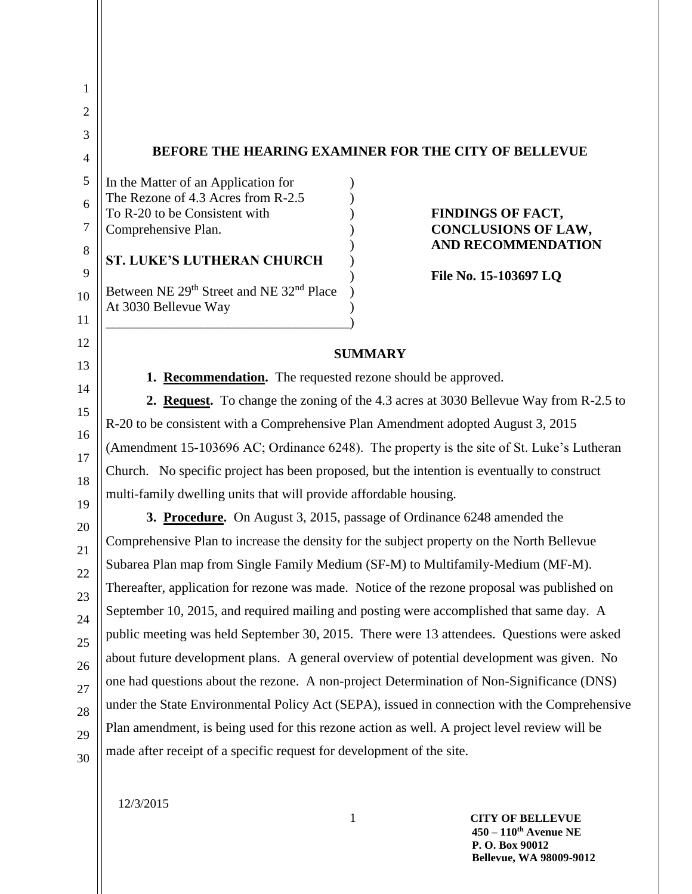| 1        |                                                                                           |                                                                                              |
|----------|-------------------------------------------------------------------------------------------|----------------------------------------------------------------------------------------------|
| 2        |                                                                                           |                                                                                              |
| 3        |                                                                                           |                                                                                              |
| 4        |                                                                                           | <b>BEFORE THE HEARING EXAMINER FOR THE CITY OF BELLEVUE</b>                                  |
| 5        | In the Matter of an Application for<br>The Rezone of 4.3 Acres from R-2.5                 |                                                                                              |
| 6        | To R-20 to be Consistent with                                                             | <b>FINDINGS OF FACT,</b>                                                                     |
| 7        | Comprehensive Plan.                                                                       | <b>CONCLUSIONS OF LAW,</b><br><b>AND RECOMMENDATION</b>                                      |
| 8        | <b>ST. LUKE'S LUTHERAN CHURCH</b>                                                         |                                                                                              |
| 9        | Between NE 29 <sup>th</sup> Street and NE 32 <sup>nd</sup> Place                          | File No. 15-103697 LQ                                                                        |
| 10       | At 3030 Bellevue Way                                                                      |                                                                                              |
| 11<br>12 |                                                                                           |                                                                                              |
| 13       |                                                                                           | <b>SUMMARY</b>                                                                               |
| 14       | 1. Recommendation. The requested rezone should be approved.                               |                                                                                              |
| 15       |                                                                                           | 2. Request. To change the zoning of the 4.3 acres at 3030 Bellevue Way from R-2.5 to         |
| 16       | R-20 to be consistent with a Comprehensive Plan Amendment adopted August 3, 2015          |                                                                                              |
| 17       |                                                                                           | (Amendment 15-103696 AC; Ordinance 6248). The property is the site of St. Luke's Lutheran    |
| 18       |                                                                                           | Church. No specific project has been proposed, but the intention is eventually to construct  |
| 19       | multi-family dwelling units that will provide affordable housing.                         |                                                                                              |
| 20       |                                                                                           | 3. Procedure. On August 3, 2015, passage of Ordinance 6248 amended the                       |
| 21       | Comprehensive Plan to increase the density for the subject property on the North Bellevue |                                                                                              |
| 22       | Subarea Plan map from Single Family Medium (SF-M) to Multifamily-Medium (MF-M).           |                                                                                              |
| 23       |                                                                                           | Thereafter, application for rezone was made. Notice of the rezone proposal was published on  |
| 24       |                                                                                           | September 10, 2015, and required mailing and posting were accomplished that same day. A      |
| 25       |                                                                                           | public meeting was held September 30, 2015. There were 13 attendees. Questions were asked    |
| 26       |                                                                                           | about future development plans. A general overview of potential development was given. No    |
| 27       |                                                                                           | one had questions about the rezone. A non-project Determination of Non-Significance (DNS)    |
| 28       |                                                                                           | under the State Environmental Policy Act (SEPA), issued in connection with the Comprehensive |
| 29       |                                                                                           | Plan amendment, is being used for this rezone action as well. A project level review will be |
| 30       | made after receipt of a specific request for development of the site.                     |                                                                                              |
|          |                                                                                           |                                                                                              |

12/3/2015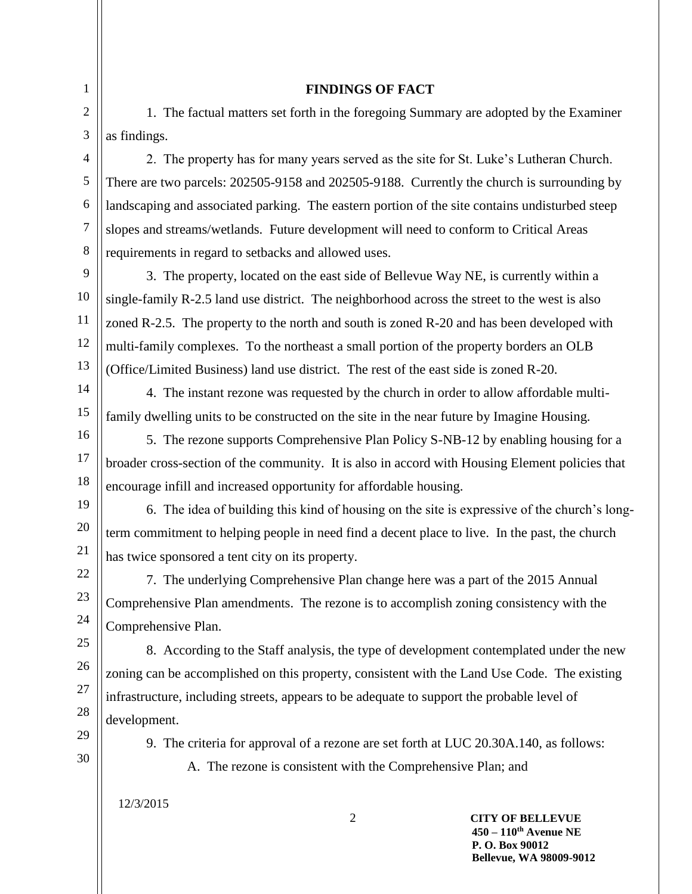## **FINDINGS OF FACT**

1. The factual matters set forth in the foregoing Summary are adopted by the Examiner as findings.

2. The property has for many years served as the site for St. Luke's Lutheran Church. There are two parcels: 202505-9158 and 202505-9188. Currently the church is surrounding by landscaping and associated parking. The eastern portion of the site contains undisturbed steep slopes and streams/wetlands. Future development will need to conform to Critical Areas requirements in regard to setbacks and allowed uses.

9 10 11 12 13 3. The property, located on the east side of Bellevue Way NE, is currently within a single-family R-2.5 land use district. The neighborhood across the street to the west is also zoned R-2.5. The property to the north and south is zoned R-20 and has been developed with multi-family complexes. To the northeast a small portion of the property borders an OLB (Office/Limited Business) land use district. The rest of the east side is zoned R-20.

4. The instant rezone was requested by the church in order to allow affordable multifamily dwelling units to be constructed on the site in the near future by Imagine Housing.

5. The rezone supports Comprehensive Plan Policy S-NB-12 by enabling housing for a broader cross-section of the community. It is also in accord with Housing Element policies that encourage infill and increased opportunity for affordable housing.

6. The idea of building this kind of housing on the site is expressive of the church's longterm commitment to helping people in need find a decent place to live. In the past, the church has twice sponsored a tent city on its property.

7. The underlying Comprehensive Plan change here was a part of the 2015 Annual Comprehensive Plan amendments. The rezone is to accomplish zoning consistency with the Comprehensive Plan.

8. According to the Staff analysis, the type of development contemplated under the new zoning can be accomplished on this property, consistent with the Land Use Code. The existing infrastructure, including streets, appears to be adequate to support the probable level of development.

29 30

1 2

3

4

5

6 7

8

14

15

16

17

18

19

20

21 22

23

24 25

26

27

28

9. The criteria for approval of a rezone are set forth at LUC 20.30A.140, as follows:

A. The rezone is consistent with the Comprehensive Plan; and

12/3/2015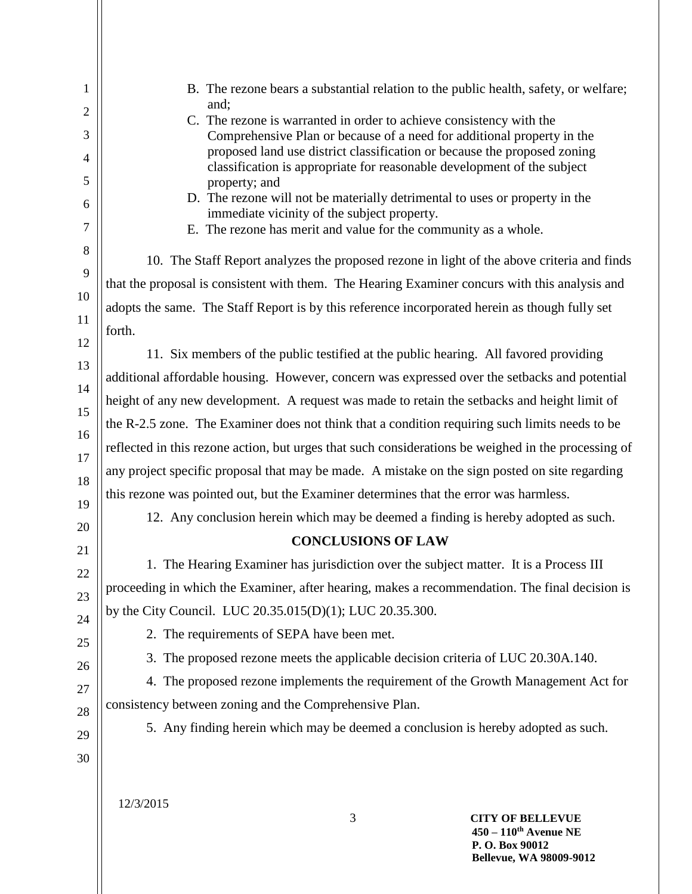| 1  | B. The rezone bears a substantial relation to the public health, safety, or welfare;                                                          |
|----|-----------------------------------------------------------------------------------------------------------------------------------------------|
| 2  | and;                                                                                                                                          |
| 3  | C. The rezone is warranted in order to achieve consistency with the<br>Comprehensive Plan or because of a need for additional property in the |
| 4  | proposed land use district classification or because the proposed zoning                                                                      |
| 5  | classification is appropriate for reasonable development of the subject                                                                       |
| 6  | property; and<br>D. The rezone will not be materially detrimental to uses or property in the                                                  |
| 7  | immediate vicinity of the subject property.<br>E. The rezone has merit and value for the community as a whole.                                |
| 8  |                                                                                                                                               |
| 9  | 10. The Staff Report analyzes the proposed rezone in light of the above criteria and finds                                                    |
| 10 | that the proposal is consistent with them. The Hearing Examiner concurs with this analysis and                                                |
| 11 | adopts the same. The Staff Report is by this reference incorporated herein as though fully set                                                |
| 12 | forth.                                                                                                                                        |
| 13 | 11. Six members of the public testified at the public hearing. All favored providing                                                          |
| 14 | additional affordable housing. However, concern was expressed over the setbacks and potential                                                 |
| 15 | height of any new development. A request was made to retain the setbacks and height limit of                                                  |
| 16 | the R-2.5 zone. The Examiner does not think that a condition requiring such limits needs to be                                                |
| 17 | reflected in this rezone action, but urges that such considerations be weighed in the processing of                                           |
| 18 | any project specific proposal that may be made. A mistake on the sign posted on site regarding                                                |
| 19 | this rezone was pointed out, but the Examiner determines that the error was harmless.                                                         |
| 20 | 12. Any conclusion herein which may be deemed a finding is hereby adopted as such.                                                            |
| 21 | <b>CONCLUSIONS OF LAW</b>                                                                                                                     |
| 22 | 1. The Hearing Examiner has jurisdiction over the subject matter. It is a Process III                                                         |
| 23 | proceeding in which the Examiner, after hearing, makes a recommendation. The final decision is                                                |
| 24 | by the City Council. LUC 20.35.015(D)(1); LUC 20.35.300.                                                                                      |
| 25 | 2. The requirements of SEPA have been met.                                                                                                    |
| 26 | 3. The proposed rezone meets the applicable decision criteria of LUC 20.30A.140.                                                              |
| 27 | 4. The proposed rezone implements the requirement of the Growth Management Act for                                                            |
| 28 | consistency between zoning and the Comprehensive Plan.                                                                                        |
| 29 | 5. Any finding herein which may be deemed a conclusion is hereby adopted as such.                                                             |
| 30 |                                                                                                                                               |
|    |                                                                                                                                               |
|    | 12/3/2015                                                                                                                                     |
|    | 3<br><b>CITY OF BELLEVUE</b>                                                                                                                  |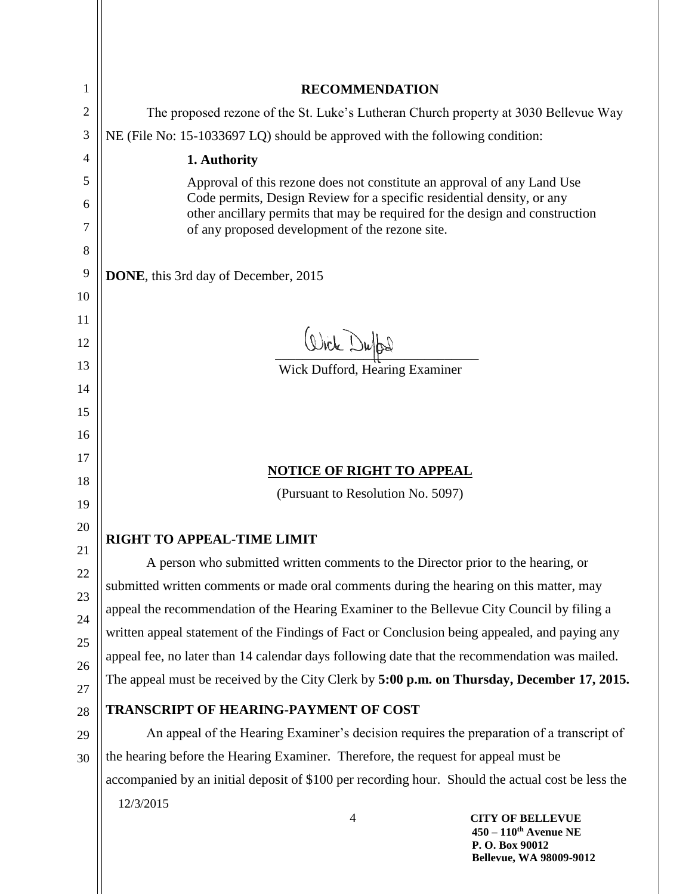| 1        | <b>RECOMMENDATION</b>                                                                                                                                  |  |  |
|----------|--------------------------------------------------------------------------------------------------------------------------------------------------------|--|--|
| 2        | The proposed rezone of the St. Luke's Lutheran Church property at 3030 Bellevue Way                                                                    |  |  |
| 3        | NE (File No: 15-1033697 LQ) should be approved with the following condition:                                                                           |  |  |
| 4        | 1. Authority                                                                                                                                           |  |  |
| 5        | Approval of this rezone does not constitute an approval of any Land Use                                                                                |  |  |
| 6        | Code permits, Design Review for a specific residential density, or any<br>other ancillary permits that may be required for the design and construction |  |  |
| 7        | of any proposed development of the rezone site.                                                                                                        |  |  |
| 8        |                                                                                                                                                        |  |  |
| 9        | DONE, this 3rd day of December, 2015                                                                                                                   |  |  |
| 10       |                                                                                                                                                        |  |  |
| 11       |                                                                                                                                                        |  |  |
| 12       | Write Duffel                                                                                                                                           |  |  |
| 13       | <b>Wick Dufford, Hearing Examiner</b>                                                                                                                  |  |  |
| 14<br>15 |                                                                                                                                                        |  |  |
| 16       |                                                                                                                                                        |  |  |
| 17       |                                                                                                                                                        |  |  |
| 18       | <b>NOTICE OF RIGHT TO APPEAL</b>                                                                                                                       |  |  |
| 19       | (Pursuant to Resolution No. 5097)                                                                                                                      |  |  |
| 20       |                                                                                                                                                        |  |  |
| 21       | RIGHT TO APPEAL-TIME LIMIT                                                                                                                             |  |  |
| 22       | A person who submitted written comments to the Director prior to the hearing, or                                                                       |  |  |
| 23       | submitted written comments or made oral comments during the hearing on this matter, may                                                                |  |  |
| 24       | appeal the recommendation of the Hearing Examiner to the Bellevue City Council by filing a                                                             |  |  |
| 25       | written appeal statement of the Findings of Fact or Conclusion being appealed, and paying any                                                          |  |  |
| 26       | appeal fee, no later than 14 calendar days following date that the recommendation was mailed.                                                          |  |  |
| 27       | The appeal must be received by the City Clerk by 5:00 p.m. on Thursday, December 17, 2015.                                                             |  |  |
| 28       | <b>TRANSCRIPT OF HEARING-PAYMENT OF COST</b>                                                                                                           |  |  |
| 29       | An appeal of the Hearing Examiner's decision requires the preparation of a transcript of                                                               |  |  |
| 30       | the hearing before the Hearing Examiner. Therefore, the request for appeal must be                                                                     |  |  |
|          | accompanied by an initial deposit of \$100 per recording hour. Should the actual cost be less the                                                      |  |  |
|          | 12/3/2015<br>$\overline{4}$<br><b>CITY OF BELLEVUE</b>                                                                                                 |  |  |
|          | $450 - 110$ <sup>th</sup> Avenue NE<br>P.O. Box 90012                                                                                                  |  |  |

**Bellevue, WA 98009-9012**